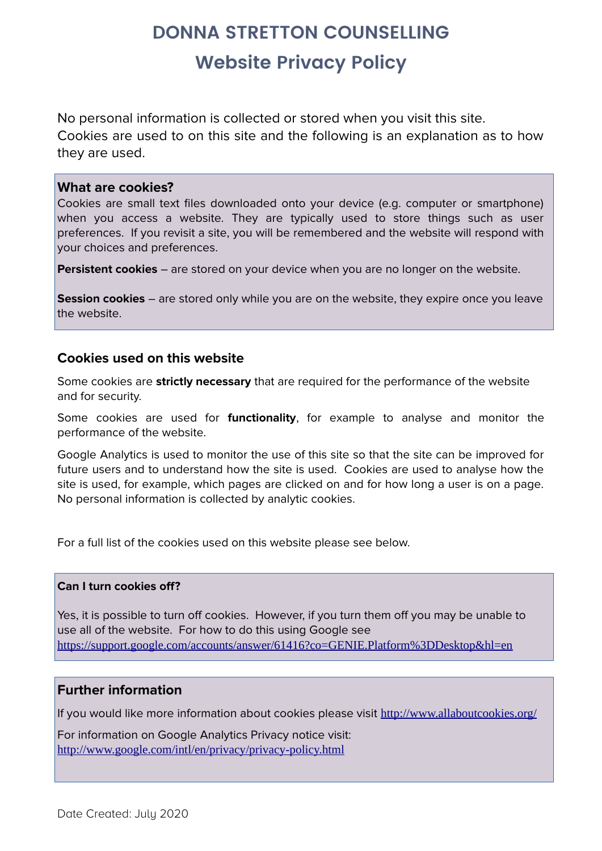# **DONNA STRETTON COUNSELLING Website Privacy Policy**

No personal information is collected or stored when you visit this site. Cookies are used to on this site and the following is an explanation as to how they are used.

#### **What are cookies?**

Cookies are small text files downloaded onto your device (e.g. computer or smartphone) when you access a website. They are typically used to store things such as user preferences. If you revisit a site, you will be remembered and the website will respond with your choices and preferences.

**Persistent cookies** – are stored on your device when you are no longer on the website.

**Session cookies** – are stored only while you are on the website, they expire once you leave the website.

## **Cookies used on this website**

Some cookies are **strictly necessary** that are required for the performance of the website and for security.

Some cookies are used for **functionality**, for example to analyse and monitor the performance of the website.

Google Analytics is used to monitor the use of this site so that the site can be improved for future users and to understand how the site is used. Cookies are used to analyse how the site is used, for example, which pages are clicked on and for how long a user is on a page. No personal information is collected by analytic cookies.

For a full list of the cookies used on this website please see below.

#### **Can I turn cookies off?**

Yes, it is possible to turn off cookies. However, if you turn them off you may be unable to use all of the website. For how to do this using Google see <https://support.google.com/accounts/answer/61416?co=GENIE.Platform%3DDesktop&hl=en>

### **Further information**

If you would like more information about cookies please visit <http://www.allaboutcookies.org/>

For information on Google Analytics Privacy notice visit: [http://www.google.com/intl/en/privacy/privacy-policy.html](https://www.google.com/intl/en/privacy/privacy-policy.html)